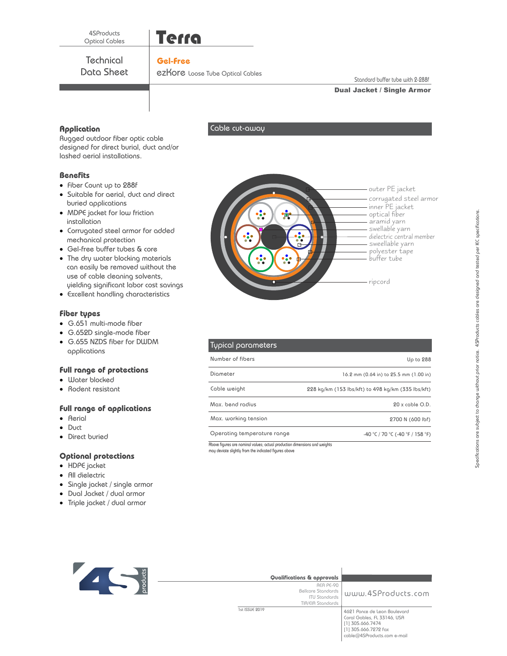

# **Gel-Free**

**Technical** Data Sheet

ezKore Loose Tube Optical Cables

Cable cut-away

Standard buffer tube with 2-288f

### Dual Jacket / Single Armor

# **Application**

Rugged outdoor fiber optic cable designed for direct burial, duct and/or lashed aerial installations.

### **Benefits**

- · Fiber Count up to 288f
- · Suitable for aerial, duct and direct buried applications
- · MDPE jacket for low friction installation
- · Corrugated steel armor for added mechanical protection
- · Gel-free buffer tubes & core
- · The dry water blocking materials can easily be removed without the use of cable cleaning solvents, yielding significant labor cost savings
- · Excellent handling characteristics

### **Fiber types**

- · G.651 multi-mode fiber
- · G.652D single-mode fiber
- · G.655 NZDS fiber for DWDM applications

# **Full range of protections**

- · Water blocked
- · Rodent resistant

### **Full range of applications**

- · Aerial
- · Duct
- · Direct buried

## **Optional protections**

- · HDPE jacket
- · All dielectric
- · Single jacket / single armor
- · Dual Jacket / dual armor
- · Triple jacket / dual armor



| Typical parameters          |                                                    |
|-----------------------------|----------------------------------------------------|
| Number of fibers            | Up to 288                                          |
| Diometer                    | 16.2 mm (0.64 in) to 25.5 mm (1.00 in)             |
| Cable weight                | 228 kg/km (153 lbs/kft) to 498 kg/km (335 lbs/kft) |
| Max, bend radius            | $20x$ coble $O.D.$                                 |
| Max. working tension        | 2700 N (600 lbf)                                   |
| Operating temperature range | $-40$ °C / 70 °C ( $-40$ °F / 158 °F)              |

Above figures are nominal values; actual production dimensions and weights may deviate slightly from the indicated figures above